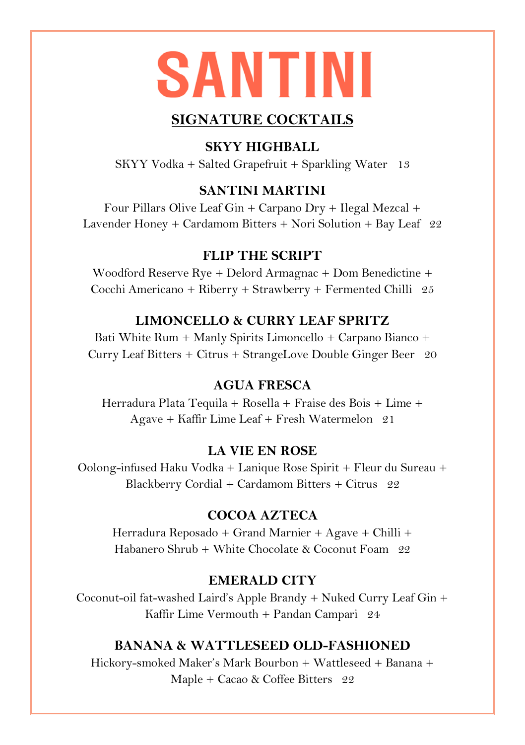# **SANTINI**

# **SIGNATURE COCKTAILS**

# **SKYY HIGHBALL**

SKYY Vodka + Salted Grapefruit + Sparkling Water 13

#### **SANTINI MARTINI**

Four Pillars Olive Leaf Gin + Carpano Dry + Ilegal Mezcal + Lavender Honey + Cardamom Bitters + Nori Solution + Bay Leaf 22

#### **FLIP THE SCRIPT**

Woodford Reserve Rye + Delord Armagnac + Dom Benedictine + Cocchi Americano + Riberry + Strawberry + Fermented Chilli 25

# **LIMONCELLO & CURRY LEAF SPRITZ**

Bati White Rum + Manly Spirits Limoncello + Carpano Bianco + Curry Leaf Bitters + Citrus + StrangeLove Double Ginger Beer 20

#### **AGUA FRESCA**

Herradura Plata Tequila + Rosella + Fraise des Bois + Lime + Agave + Kaffir Lime Leaf + Fresh Watermelon 21

# **LA VIE EN ROSE**

Oolong-infused Haku Vodka + Lanique Rose Spirit + Fleur du Sureau + Blackberry Cordial + Cardamom Bitters + Citrus 22

# **COCOA AZTECA**

Herradura Reposado + Grand Marnier + Agave + Chilli + Habanero Shrub + White Chocolate & Coconut Foam  $99$ 

# **EMERALD CITY**

Coconut-oil fat-washed Laird's Apple Brandy + Nuked Curry Leaf Gin + Kaffir Lime Vermouth + Pandan Campari 24

#### **BANANA & WATTLESEED OLD-FASHIONED**

Hickory-smoked Maker's Mark Bourbon + Wattleseed + Banana + Maple + Cacao & Coffee Bitters 22